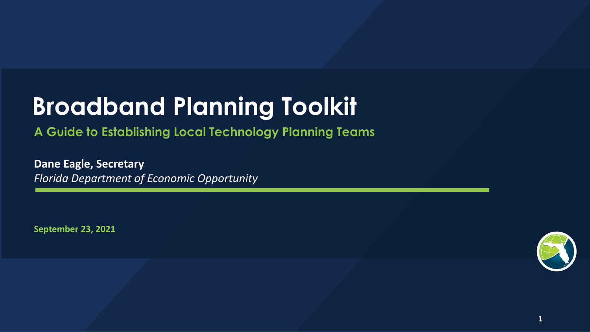# **Broadband Planning Toolkit**

**A Guide to Establishing Local Technology Planning Teams**

**Dane Eagle, Secretary** *Florida Department of Economic Opportunity*

**September 23, 2021**

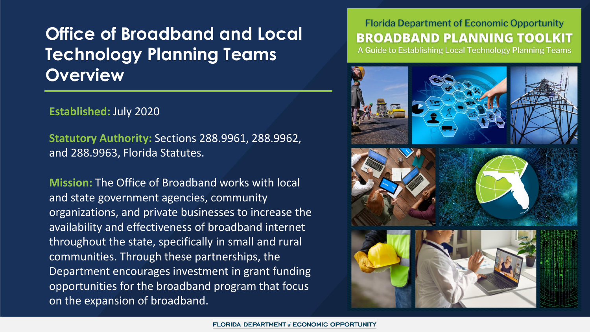# **Office of Broadband and Local Technology Planning Teams Overview**

**Established:** July 2020

**Statutory Authority:** Sections 288.9961, 288.9962, and 288.9963, Florida Statutes.

**Mission:** The Office of Broadband works with local and state government agencies, community organizations, and private businesses to increase the availability and effectiveness of broadband internet throughout the state, specifically in small and rural communities. Through these partnerships, the Department encourages investment in grant funding opportunities for the broadband program that focus on the expansion of broadband.

### **Florida Department of Economic Opportunity BROADBAND PLANNING TOOLKIT**

A Guide to Establishing Local Technology Planning Teams

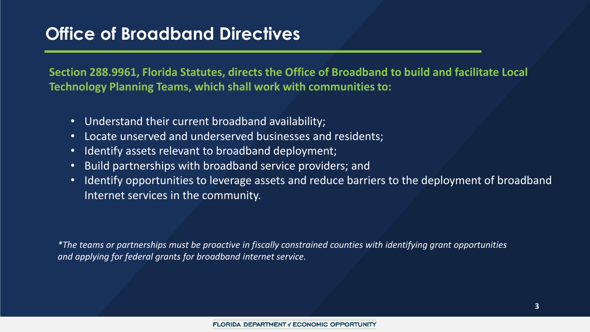# **Office of Broadband Directives**

**Section 288.9961, Florida Statutes, directs the Office of Broadband to build and facilitate Local Technology Planning Teams, which shall work with communities to:**

- Understand their current broadband availability;
- Locate unserved and underserved businesses and residents;
- Identify assets relevant to broadband deployment;
- Build partnerships with broadband service providers; and
- Identify opportunities to leverage assets and reduce barriers to the deployment of broadband Internet services in the community.

*\*The teams or partnerships must be proactive in fiscally constrained counties with identifying grant opportunities and applying for federal grants for broadband internet service.*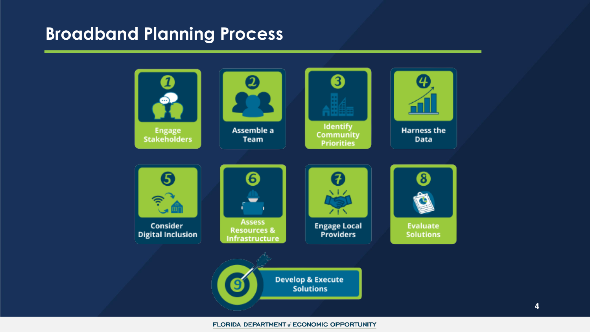### **Broadband Planning Process**

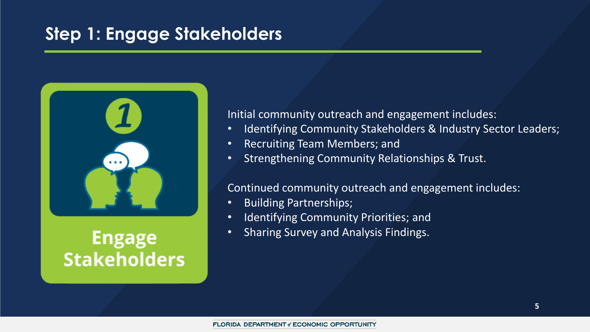# **Step 1: Engage Stakeholders**



# **Engage Stakeholders**

Initial community outreach and engagement includes:

- Identifying Community Stakeholders & Industry Sector Leaders;
- Recruiting Team Members; and
- Strengthening Community Relationships & Trust.

#### Continued community outreach and engagement includes:

- Building Partnerships;
- Identifying Community Priorities; and
- Sharing Survey and Analysis Findings.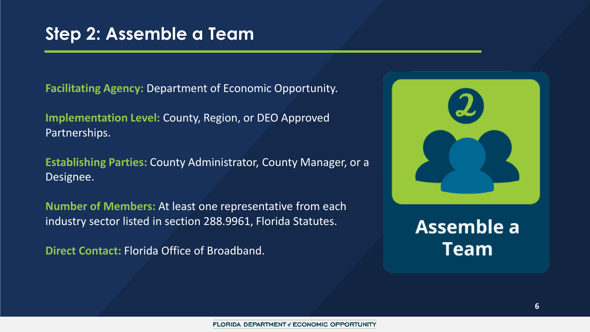**Facilitating Agency:** Department of Economic Opportunity.

**Implementation Level:** County, Region, or DEO Approved Partnerships.

**Establishing Parties:** County Administrator, County Manager, or a Designee.

**Number of Members:** At least one representative from each industry sector listed in section 288.9961, Florida Statutes.

**Direct Contact:** Florida Office of Broadband.



Assemble a **Team**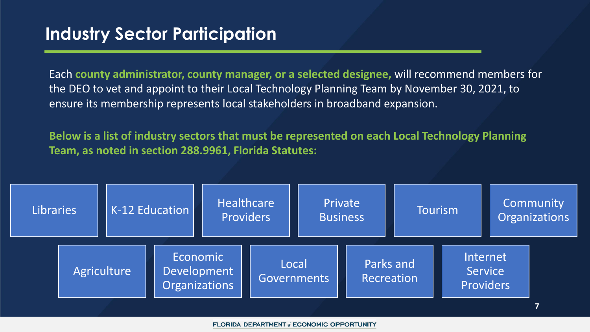Each **county administrator, county manager, or a selected designee,** will recommend members for the DEO to vet and appoint to their Local Technology Planning Team by November 30, 2021, to ensure its membership represents local stakeholders in broadband expansion.

**Below is a list of industry sectors that must be represented on each Local Technology Planning Team, as noted in section 288.9961, Florida Statutes:**

| Economic<br>Internet<br>Parks and<br>Local<br>Agriculture<br>Development<br>Service<br>Recreation<br>Governments<br>Organizations<br>Providers | Libraries |  | K-12 Education |  | Healthcare<br>Providers |  | Private<br><b>Business</b> |  | Tourism |  | Community<br>Organizations |
|------------------------------------------------------------------------------------------------------------------------------------------------|-----------|--|----------------|--|-------------------------|--|----------------------------|--|---------|--|----------------------------|
|                                                                                                                                                |           |  |                |  |                         |  |                            |  |         |  |                            |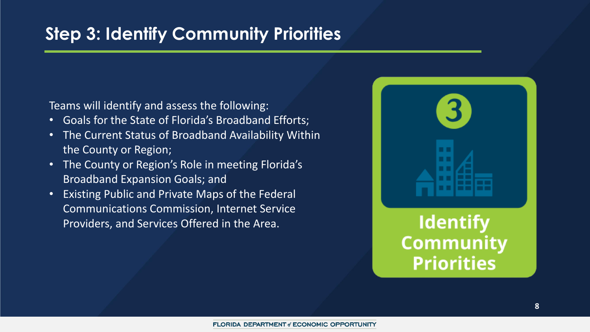# **Step 3: Identify Community Priorities**

Teams will identify and assess the following:

- Goals for the State of Florida's Broadband Efforts;
- The Current Status of Broadband Availability Within the County or Region;
- The County or Region's Role in meeting Florida's Broadband Expansion Goals; and
- Existing Public and Private Maps of the Federal Communications Commission, Internet Service Providers, and Services Offered in the Area.



**Identify Community Priorities**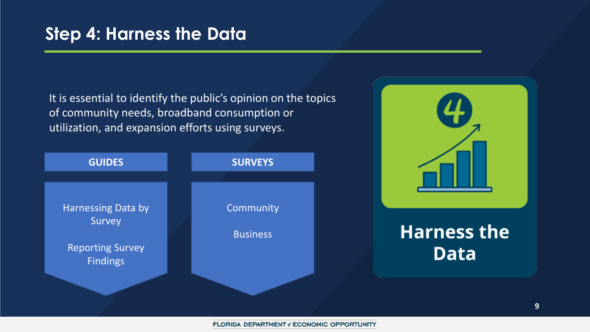It is essential to identify the public's opinion on the topics of community needs, broadband consumption or utilization, and expansion efforts using surveys.





# **Harness the Data**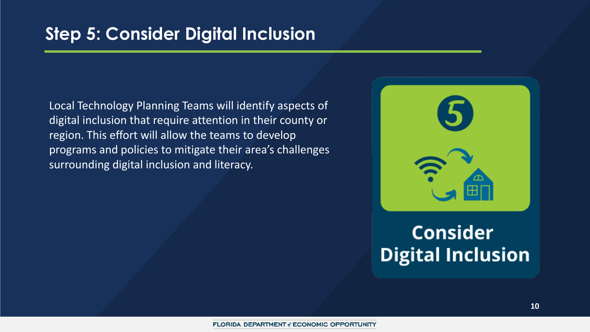Local Technology Planning Teams will identify aspects of digital inclusion that require attention in their county or region. This effort will allow the teams to develop programs and policies to mitigate their area's challenges surrounding digital inclusion and literacy.



# **Consider Digital Inclusion**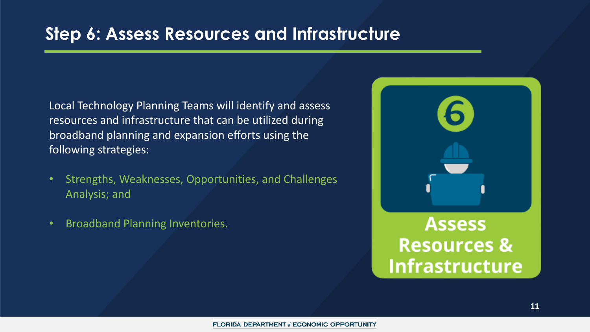### **Step 6: Assess Resources and Infrastructure**

Local Technology Planning Teams will identify and assess resources and infrastructure that can be utilized during broadband planning and expansion efforts using the following strategies:

- Strengths, Weaknesses, Opportunities, and Challenges Analysis; and
- Broadband Planning Inventories.

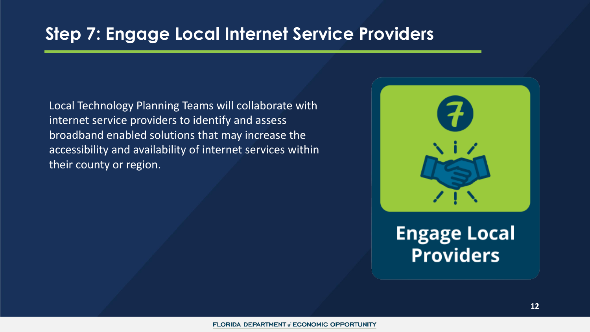### **Step 7: Engage Local Internet Service Providers**

Local Technology Planning Teams will collaborate with internet service providers to identify and assess broadband enabled solutions that may increase the accessibility and availability of internet services within their county or region.



**Engage Local Providers**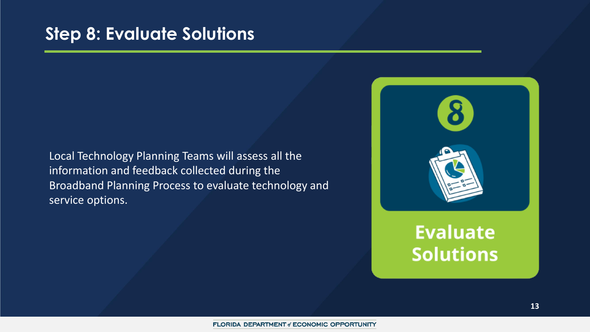### **Step 8: Evaluate Solutions**

Local Technology Planning Teams will assess all the information and feedback collected during the Broadband Planning Process to evaluate technology and service options.

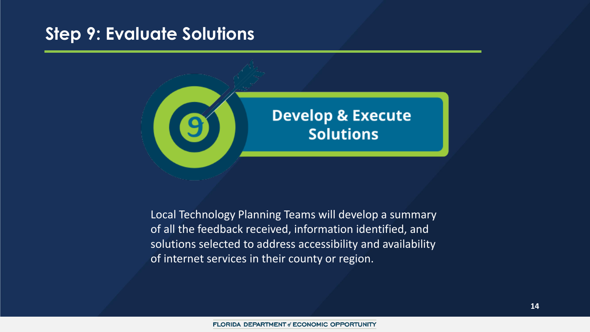### **Step 9: Evaluate Solutions**



Local Technology Planning Teams will develop a summary of all the feedback received, information identified, and solutions selected to address accessibility and availability of internet services in their county or region.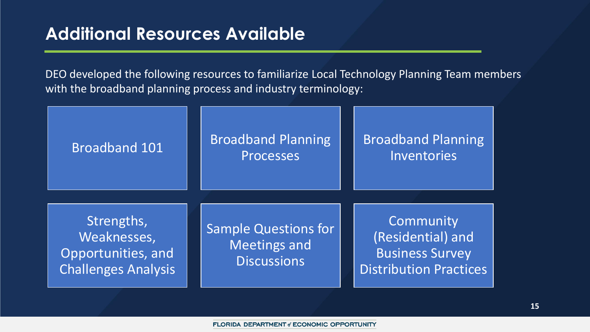### **Additional Resources Available**

DEO developed the following resources to familiarize Local Technology Planning Team members with the broadband planning process and industry terminology:

| Broadband 101                                                                 | <b>Broadband Planning</b><br>Processes                                   | <b>Broadband Planning</b><br>Inventories                                                  |
|-------------------------------------------------------------------------------|--------------------------------------------------------------------------|-------------------------------------------------------------------------------------------|
| Strengths,<br>Weaknesses,<br>Opportunities, and<br><b>Challenges Analysis</b> | <b>Sample Questions for</b><br><b>Meetings and</b><br><b>Discussions</b> | Community<br>(Residential) and<br><b>Business Survey</b><br><b>Distribution Practices</b> |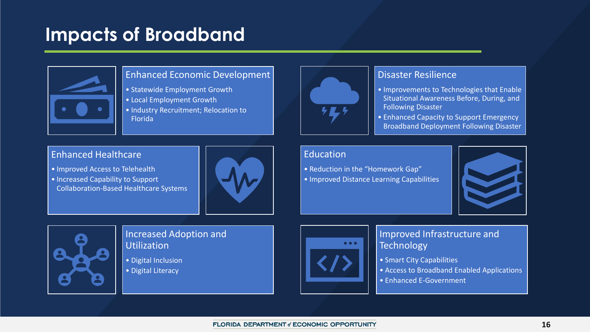# **Impacts of Broadband**



#### Enhanced Economic Development

- Statewide Employment Growth
- Local Employment Growth
- Industry Recruitment; Relocation to Florida



#### Disaster Resilience

- Improvements to Technologies that Enable Situational Awareness Before, During, and Following Disaster
- Enhanced Capacity to Support Emergency Broadband Deployment Following Disaster

#### Enhanced Healthcare

- Improved Access to Telehealth
- Increased Capability to Support Collaboration-Based Healthcare Systems



#### Education

• Reduction in the "Homework Gap" • Improved Distance Learning Capabilities





#### Increased Adoption and Utilization

- Digital Inclusion
- Digital Literacy



#### Improved Infrastructure and **Technology**

- Smart City Capabilities
- Access to Broadband Enabled Applications
- Enhanced E-Government